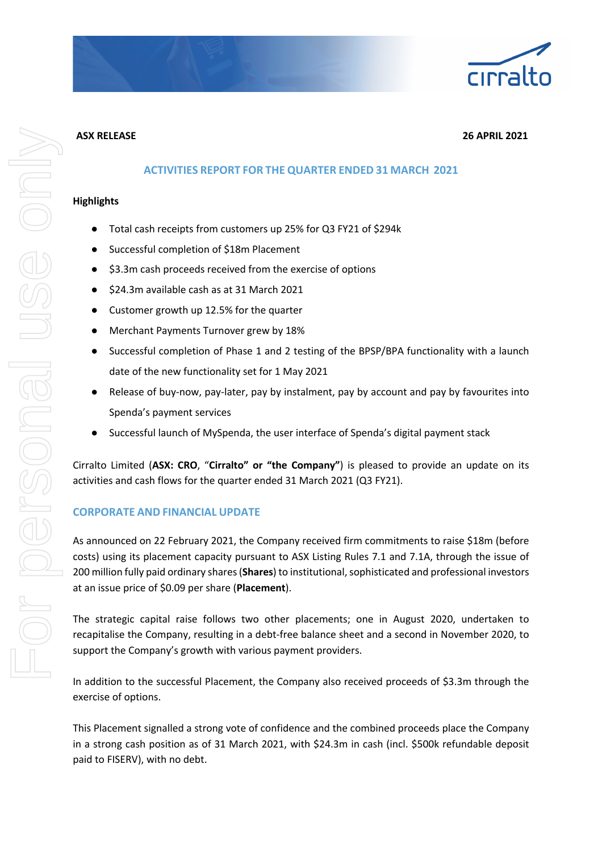

#### **ASX RELEASE 26 APRIL 2021**

## **ACTIVITIES REPORT FOR THE QUARTER ENDED 31 MARCH 2021**

#### **Highlights**

- Total cash receipts from customers up 25% for Q3 FY21 of \$294k
- Successful completion of \$18m Placement
- \$3.3m cash proceeds received from the exercise of options
- \$24.3m available cash as at 31 March 2021
- Customer growth up 12.5% for the quarter
- Merchant Payments Turnover grew by 18%
- Successful completion of Phase 1 and 2 testing of the BPSP/BPA functionality with a launch date of the new functionality set for 1 May 2021
- Release of buy-now, pay-later, pay by instalment, pay by account and pay by favourites into Spenda's payment services
- Successful launch of MySpenda, the user interface of Spenda's digital payment stack

Cirralto Limited (**ASX: CRO**, "**Cirralto" or "the Company"**) is pleased to provide an update on its activities and cash flows for the quarter ended 31 March 2021 (Q3 FY21).

# **CORPORATE AND FINANCIAL UPDATE**

As announced on 22 February 2021, the Company received firm commitments to raise \$18m (before costs) using its placement capacity pursuant to ASX Listing Rules 7.1 and 7.1A, through the issue of 200 million fully paid ordinary shares (**Shares**) to institutional, sophisticated and professional investors at an issue price of \$0.09 per share (**Placement**).

The strategic capital raise follows two other placements; one in August 2020, undertaken to recapitalise the Company, resulting in a debt-free balance sheet and a second in November 2020, to support the Company's growth with various payment providers.

In addition to the successful Placement, the Company also received proceeds of \$3.3m through the exercise of options.

This Placement signalled a strong vote of confidence and the combined proceeds place the Company in a strong cash position as of 31 March 2021, with \$24.3m in cash (incl. \$500k refundable deposit paid to FISERV), with no debt.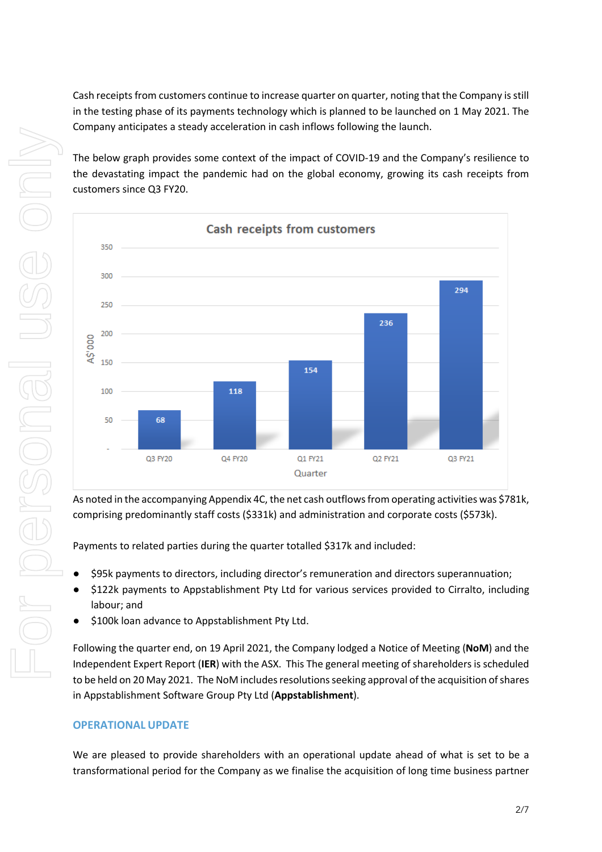Cash receipts from customers continue to increase quarter on quarter, noting that the Company is still in the testing phase of its payments technology which is planned to be launched on 1 May 2021. The Company anticipates a steady acceleration in cash inflows following the launch.

The below graph provides some context of the impact of COVID-19 and the Company's resilience to the devastating impact the pandemic had on the global economy, growing its cash receipts from customers since Q3 FY20.



As noted in the accompanying Appendix 4C, the net cash outflows from operating activities was \$781k, comprising predominantly staff costs (\$331k) and administration and corporate costs (\$573k).

Payments to related parties during the quarter totalled \$317k and included:

- \$95k payments to directors, including director's remuneration and directors superannuation;
- \$122k payments to Appstablishment Pty Ltd for various services provided to Cirralto, including labour; and
- \$100k loan advance to Appstablishment Pty Ltd.

Following the quarter end, on 19 April 2021, the Company lodged a Notice of Meeting (**NoM**) and the Independent Expert Report (**IER**) with the ASX. This The general meeting of shareholders is scheduled to be held on 20 May 2021. The NoM includes resolutions seeking approval of the acquisition of shares in Appstablishment Software Group Pty Ltd (**Appstablishment**).

# **OPERATIONAL UPDATE**

We are pleased to provide shareholders with an operational update ahead of what is set to be a transformational period for the Company as we finalise the acquisition of long time business partner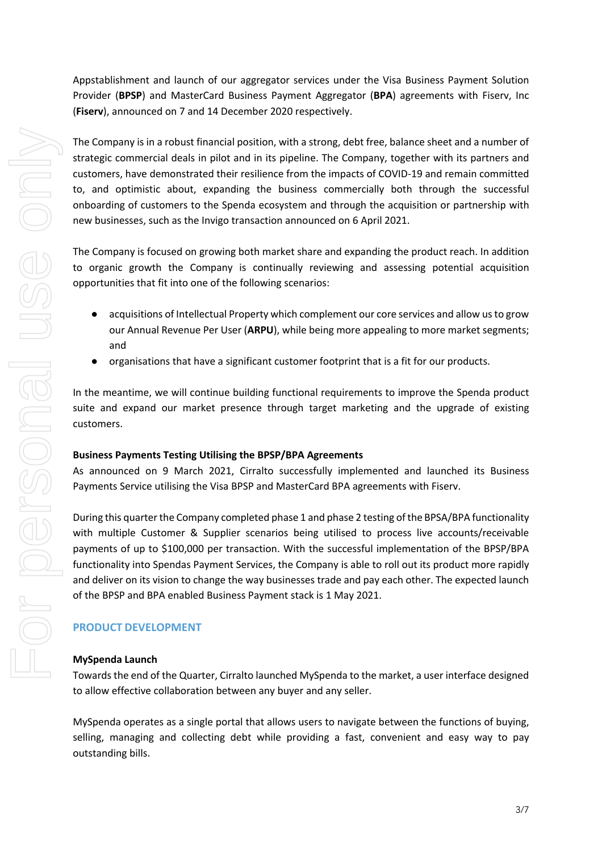Appstablishment and launch of our aggregator services under the Visa Business Payment Solution Provider (**BPSP**) and MasterCard Business Payment Aggregator (**BPA**) agreements with Fiserv, Inc (**Fiserv**), announced on 7 and 14 December 2020 respectively.

The Company is in a robust financial position, with a strong, debt free, balance sheet and a number of strategic commercial deals in pilot and in its pipeline. The Company, together with its partners and customers, have demonstrated their resilience from the impacts of COVID-19 and remain committed to, and optimistic about, expanding the business commercially both through the successful onboarding of customers to the Spenda ecosystem and through the acquisition or partnership with new businesses, such as the Invigo transaction announced on 6 April 2021.

The Company is focused on growing both market share and expanding the product reach. In addition to organic growth the Company is continually reviewing and assessing potential acquisition opportunities that fit into one of the following scenarios:

- acquisitions of Intellectual Property which complement our core services and allow us to grow our Annual Revenue Per User (**ARPU**), while being more appealing to more market segments; and
- organisations that have a significant customer footprint that is a fit for our products.

In the meantime, we will continue building functional requirements to improve the Spenda product suite and expand our market presence through target marketing and the upgrade of existing customers.

## **Business Payments Testing Utilising the BPSP/BPA Agreements**

As announced on 9 March 2021, Cirralto successfully implemented and launched its Business Payments Service utilising the Visa BPSP and MasterCard BPA agreements with Fiserv.

During this quarter the Company completed phase 1 and phase 2 testing of the BPSA/BPA functionality with multiple Customer & Supplier scenarios being utilised to process live accounts/receivable payments of up to \$100,000 per transaction. With the successful implementation of the BPSP/BPA functionality into Spendas Payment Services, the Company is able to roll out its product more rapidly and deliver on its vision to change the way businesses trade and pay each other. The expected launch of the BPSP and BPA enabled Business Payment stack is 1 May 2021.

## **PRODUCT DEVELOPMENT**

#### **MySpenda Launch**

Towards the end of the Quarter, Cirralto launched MySpenda to the market, a user interface designed to allow effective collaboration between any buyer and any seller.

MySpenda operates as a single portal that allows users to navigate between the functions of buying, selling, managing and collecting debt while providing a fast, convenient and easy way to pay outstanding bills.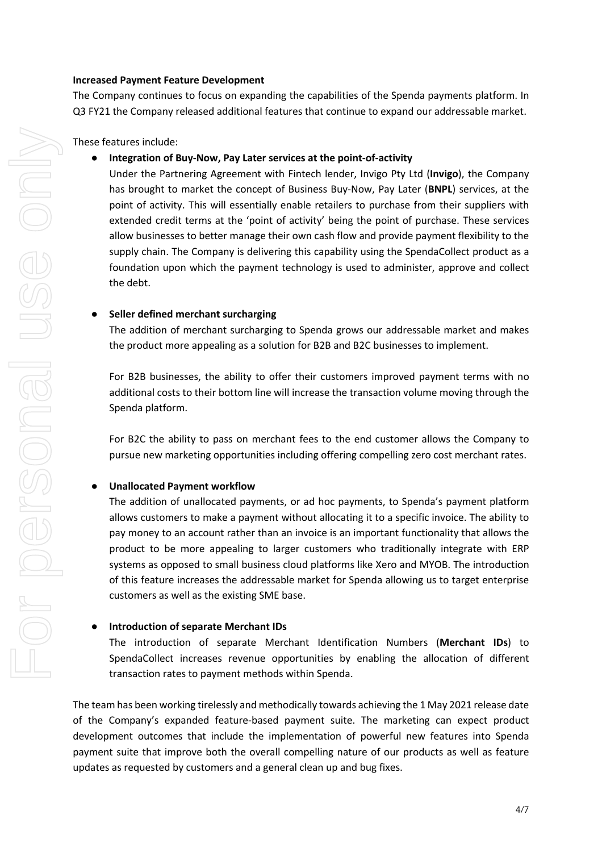#### **Increased Payment Feature Development**

The Company continues to focus on expanding the capabilities of the Spenda payments platform. In Q3 FY21 the Company released additional features that continue to expand our addressable market.

These features include:

## ● **Integration of Buy-Now, Pay Later services at the point-of-activity**

Under the Partnering Agreement with Fintech lender, Invigo Pty Ltd (**Invigo**), the Company has brought to market the concept of Business Buy-Now, Pay Later (**BNPL**) services, at the point of activity. This will essentially enable retailers to purchase from their suppliers with extended credit terms at the 'point of activity' being the point of purchase. These services allow businesses to better manage their own cash flow and provide payment flexibility to the supply chain. The Company is delivering this capability using the SpendaCollect product as a foundation upon which the payment technology is used to administer, approve and collect the debt.

## ● **Seller defined merchant surcharging**

The addition of merchant surcharging to Spenda grows our addressable market and makes the product more appealing as a solution for B2B and B2C businesses to implement.

For B2B businesses, the ability to offer their customers improved payment terms with no additional costs to their bottom line will increase the transaction volume moving through the Spenda platform.

For B2C the ability to pass on merchant fees to the end customer allows the Company to pursue new marketing opportunities including offering compelling zero cost merchant rates.

## ● **Unallocated Payment workflow**

The addition of unallocated payments, or ad hoc payments, to Spenda's payment platform allows customers to make a payment without allocating it to a specific invoice. The ability to pay money to an account rather than an invoice is an important functionality that allows the product to be more appealing to larger customers who traditionally integrate with ERP systems as opposed to small business cloud platforms like Xero and MYOB. The introduction of this feature increases the addressable market for Spenda allowing us to target enterprise customers as well as the existing SME base.

#### **Introduction of separate Merchant IDs**

The introduction of separate Merchant Identification Numbers (**Merchant IDs**) to SpendaCollect increases revenue opportunities by enabling the allocation of different transaction rates to payment methods within Spenda.

The team has been working tirelessly and methodically towards achieving the 1 May 2021 release date of the Company's expanded feature-based payment suite. The marketing can expect product development outcomes that include the implementation of powerful new features into Spenda payment suite that improve both the overall compelling nature of our products as well as feature updates as requested by customers and a general clean up and bug fixes.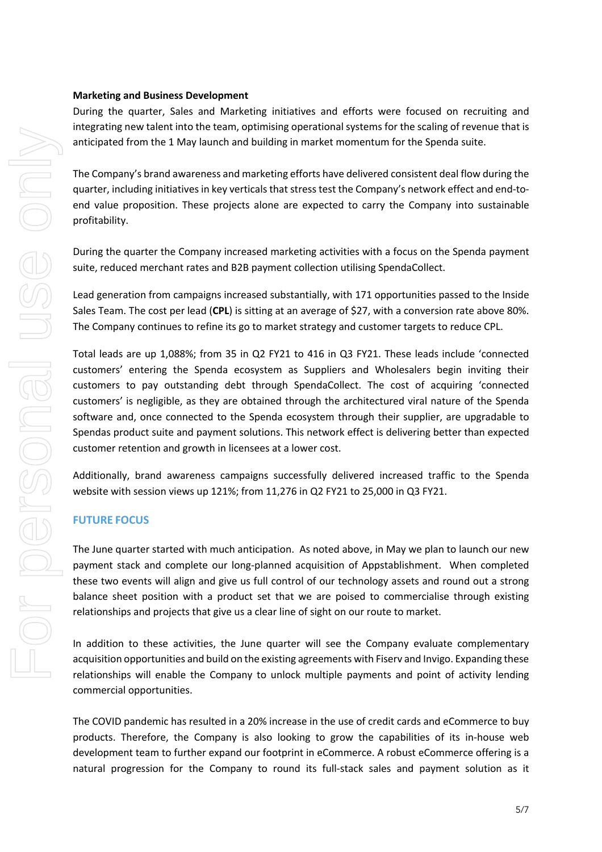#### **Marketing and Business Development**

During the quarter, Sales and Marketing initiatives and efforts were focused on recruiting and integrating new talent into the team, optimising operational systems for the scaling of revenue that is anticipated from the 1 May launch and building in market momentum for the Spenda suite.

The Company's brand awareness and marketing efforts have delivered consistent deal flow during the quarter, including initiatives in key verticals that stress test the Company's network effect and end-toend value proposition. These projects alone are expected to carry the Company into sustainable profitability.

During the quarter the Company increased marketing activities with a focus on the Spenda payment suite, reduced merchant rates and B2B payment collection utilising SpendaCollect.

Lead generation from campaigns increased substantially, with 171 opportunities passed to the Inside Sales Team. The cost per lead (**CPL**) is sitting at an average of \$27, with a conversion rate above 80%. The Company continues to refine its go to market strategy and customer targets to reduce CPL.

Total leads are up 1,088%; from 35 in Q2 FY21 to 416 in Q3 FY21. These leads include 'connected customers' entering the Spenda ecosystem as Suppliers and Wholesalers begin inviting their customers to pay outstanding debt through SpendaCollect. The cost of acquiring 'connected customers' is negligible, as they are obtained through the architectured viral nature of the Spenda software and, once connected to the Spenda ecosystem through their supplier, are upgradable to Spendas product suite and payment solutions. This network effect is delivering better than expected customer retention and growth in licensees at a lower cost.

Additionally, brand awareness campaigns successfully delivered increased traffic to the Spenda website with session views up 121%; from 11,276 in Q2 FY21 to 25,000 in Q3 FY21.

## **FUTURE FOCUS**

The June quarter started with much anticipation. As noted above, in May we plan to launch our new payment stack and complete our long-planned acquisition of Appstablishment. When completed these two events will align and give us full control of our technology assets and round out a strong balance sheet position with a product set that we are poised to commercialise through existing relationships and projects that give us a clear line of sight on our route to market.

In addition to these activities, the June quarter will see the Company evaluate complementary acquisition opportunities and build on the existing agreements with Fiserv and Invigo. Expanding these relationships will enable the Company to unlock multiple payments and point of activity lending commercial opportunities.

The COVID pandemic has resulted in a 20% increase in the use of credit cards and eCommerce to buy products. Therefore, the Company is also looking to grow the capabilities of its in-house web development team to further expand our footprint in eCommerce. A robust eCommerce offering is a natural progression for the Company to round its full-stack sales and payment solution as it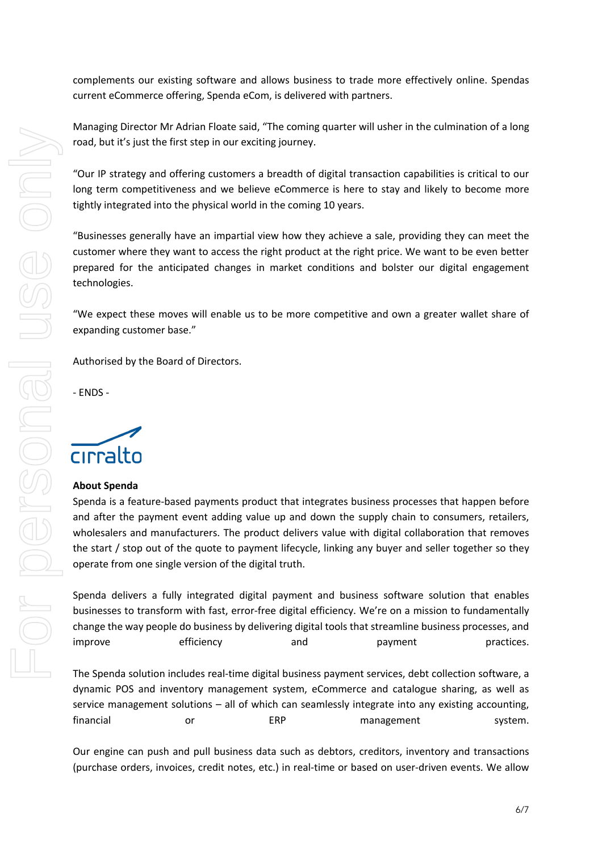complements our existing software and allows business to trade more effectively online. Spendas current eCommerce offering, Spenda eCom, is delivered with partners.

Managing Director Mr Adrian Floate said, "The coming quarter will usher in the culmination of a long road, but it's just the first step in our exciting journey.

"Our IP strategy and offering customers a breadth of digital transaction capabilities is critical to our long term competitiveness and we believe eCommerce is here to stay and likely to become more tightly integrated into the physical world in the coming 10 years.

"Businesses generally have an impartial view how they achieve a sale, providing they can meet the customer where they want to access the right product at the right price. We want to be even better prepared for the anticipated changes in market conditions and bolster our digital engagement technologies.

"We expect these moves will enable us to be more competitive and own a greater wallet share of expanding customer base."

Authorised by the Board of Directors.

- ENDS -

cirralto

## **About Spenda**

Spenda is a feature-based payments product that integrates business processes that happen before and after the payment event adding value up and down the supply chain to consumers, retailers, wholesalers and manufacturers. The product delivers value with digital collaboration that removes the start / stop out of the quote to payment lifecycle, linking any buyer and seller together so they operate from one single version of the digital truth.

Spenda delivers a fully integrated digital payment and business software solution that enables businesses to transform with fast, error-free digital efficiency. We're on a mission to fundamentally change the way people do business by delivering digital tools that streamline business processes, and improve efficiency and payment practices.

The Spenda solution includes real-time digital business payment services, debt collection software, a dynamic POS and inventory management system, eCommerce and catalogue sharing, as well as service management solutions – all of which can seamlessly integrate into any existing accounting, financial or  $ERP$  management system.

Our engine can push and pull business data such as debtors, creditors, inventory and transactions (purchase orders, invoices, credit notes, etc.) in real-time or based on user-driven events. We allow